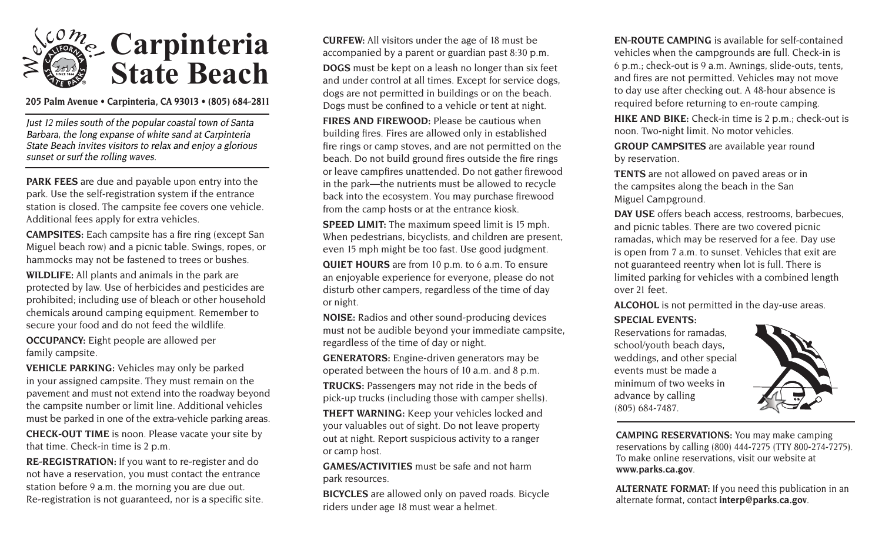

**205 Palm Avenue • Carpinteria, CA 93013 • (805) 684-2811**

Just 12 miles south of the popular coastal town of Santa Barbara, the long expanse of white sand at Carpinteria State Beach invites visitors to relax and enjoy a glorious sunset or surf the rolling waves.

**PARK FEES** are due and payable upon entry into the park. Use the self-registration system if the entrance station is closed. The campsite fee covers one vehicle. Additional fees apply for extra vehicles.

**CAMPSITES:** Each campsite has a fire ring (except San Miguel beach row) and a picnic table. Swings, ropes, or hammocks may not be fastened to trees or bushes.

**WILDLIFE:** All plants and animals in the park are protected by law. Use of herbicides and pesticides are prohibited; including use of bleach or other household chemicals around camping equipment. Remember to secure your food and do not feed the wildlife.

**OCCUPANCY:** Eight people are allowed per family campsite.

**VEHICLE PARKING:** Vehicles may only be parked in your assigned campsite. They must remain on the pavement and must not extend into the roadway beyond the campsite number or limit line. Additional vehicles must be parked in one of the extra-vehicle parking areas.

**CHECK-OUT TIME** is noon. Please vacate your site by that time. Check-in time is 2 p.m.

**RE-REGISTRATION:** If you want to re-register and do not have a reservation, you must contact the entrance station before 9 a.m. the morning you are due out. Re-registration is not guaranteed, nor is a specific site. **CURFEW:** All visitors under the age of 18 must be accompanied by a parent or guardian past 8:30 p.m. **DOGS** must be kept on a leash no longer than six feet and under control at all times. Except for service dogs, dogs are not permitted in buildings or on the beach. Dogs must be confined to a vehicle or tent at night.

**FIRES AND FIREWOOD:** Please be cautious when building fires. Fires are allowed only in established fire rings or camp stoves, and are not permitted on the beach. Do not build ground fires outside the fire rings or leave campfires unattended. Do not gather firewood in the park—the nutrients must be allowed to recycle back into the ecosystem. You may purchase firewood from the camp hosts or at the entrance kiosk.

**SPEED LIMIT:** The maximum speed limit is 15 mph. When pedestrians, bicyclists, and children are present, even 15 mph might be too fast. Use good judgment.

**QUIET HOURS** are from 10 p.m. to 6 a.m. To ensure an enjoyable experience for everyone, please do not disturb other campers, regardless of the time of day or night.

**NOISE:** Radios and other sound-producing devices must not be audible beyond your immediate campsite, regardless of the time of day or night.

**GENERATORS:** Engine-driven generators may be operated between the hours of 10 a.m. and 8 p.m.

**TRUCKS:** Passengers may not ride in the beds of pick-up trucks (including those with camper shells).

**THEFT WARNING:** Keep your vehicles locked and your valuables out of sight. Do not leave property out at night. Report suspicious activity to a ranger or camp host.

**GAMES/ACTIVITIES** must be safe and not harm park resources.

**BICYCLES** are allowed only on paved roads. Bicycle riders under age 18 must wear a helmet.

**EN-ROUTE CAMPING** is available for self-contained vehicles when the campgrounds are full. Check-in is 6 p.m.; check-out is 9 a.m. Awnings, slide-outs, tents, and fires are not permitted. Vehicles may not move to day use after checking out. A 48-hour absence is required before returning to en-route camping.

**HIKE AND BIKE:** Check-in time is 2 p.m.; check-out is noon. Two-night limit. No motor vehicles.

**GROUP CAMPSITES** are available year round by reservation.

**TENTS** are not allowed on paved areas or in the campsites along the beach in the San Miguel Campground.

**DAY USE** offers beach access, restrooms, barbecues, and picnic tables. There are two covered picnic ramadas, which may be reserved for a fee. Day use is open from 7 a.m. to sunset. Vehicles that exit are not guaranteed reentry when lot is full. There is limited parking for vehicles with a combined length over 21 feet.

**ALCOHOL** is not permitted in the day-use areas.

# **SPECIAL EVENTS:**

Reservations for ramadas, school/youth beach days, weddings, and other special events must be made a minimum of two weeks in advance by calling (805) 684-7487.



**CAMPING RESERVATIONS:** You may make camping reservations by calling (800) 444-7275 (TTY 800-274-7275). To make online reservations, visit our website at **www.parks.ca.gov**.

**ALTERNATE FORMAT:** If you need this publication in an alternate format, contact **interp@parks.ca.gov**.